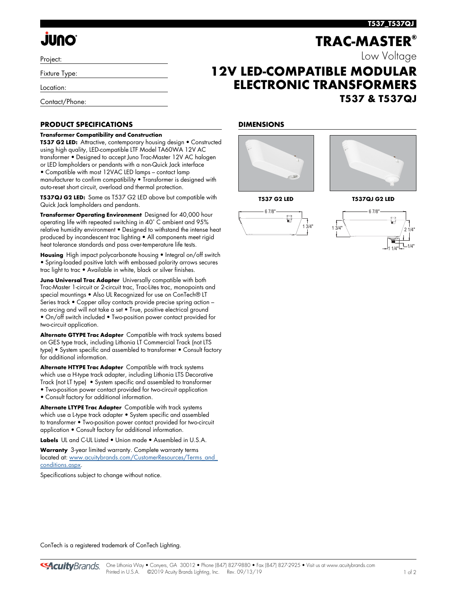#### **T537\_T537QJ**

Low Voltage

**TRAC-MASTER®**

# **JUNO**

Project:

Fixture Type:

Location:

Contact/Phone:

### **PRODUCT SPECIFICATIONS**

#### **Transformer Compatibility and Construction**

**T537 G2 LED:** Attractive, contemporary housing design • Constructed using high quality, LED-compatible LTF Model TA60WA 12V AC transformer • Designed to accept Juno Trac-Master 12V AC halogen or LED lampholders or pendants with a non-Quick Jack interface • Compatible with most 12VAC LED lamps – contact lamp manufacturer to confirm compatibility • Transformer is designed with auto-reset short circuit, overload and thermal protection.

**T537QJ G2 LED:** Same as T537 G2 LED above but compatible with Quick Jack lampholders and pendants.

**Transformer Operating Environment** Designed for 40,000 hour operating life with repeated switching in 40˚ C ambient and 95% relative humidity environment • Designed to withstand the intense heat produced by incandescent trac lighting • All components meet rigid heat tolerance standards and pass over-temperature life tests.

**Housing** High impact polycarbonate housing • Integral on/off switch • Spring-loaded positive latch with embossed polarity arrows secures trac light to trac • Available in white, black or silver finishes.

**Juno Universal Trac Adapter** Universally compatible with both Trac-Master 1-circuit or 2-circuit trac, Trac-Lites trac, monopoints and special mountings • Also UL Recognized for use on ConTech® LT Series track • Copper alloy contacts provide precise spring action – no arcing and will not take a set • True, positive electrical ground • On/off switch included • Two-position power contact provided for two-circuit application.

**Alternate GTYPE Trac Adapter** Compatible with track systems based on GES type track, including Lithonia LT Commercial Track (not LTS type) • System specific and assembled to transformer • Consult factory for additional information.

**Alternate HTYPE Trac Adapter** Compatible with track systems which use a H-type track adapter, including Lithonia LTS Decorative Track (not LT type) • System specific and assembled to transformer • Two-position power contact provided for two-circuit application

• Consult factory for additional information.

**Alternate LTYPE Trac Adapter** Compatible with track systems which use a L-type track adapter • System specific and assembled to transformer • Two-position power contact provided for two-circuit application • Consult factory for additional information.

**Labels** UL and C-UL Listed • Union made • Assembled in U.S.A.

**Warranty** 3-year limited warranty. Complete warranty terms located at: [www.acuitybrands.com/CustomerResources/Terms\\_and\\_](http://www.acuitybrands.com/CustomerResources/Terms_and_conditions.aspx) [conditions.aspx](http://www.acuitybrands.com/CustomerResources/Terms_and_conditions.aspx).

Specifications subject to change without notice.

### **DIMENSIONS**



**12V LED-COMPATIBLE MODULAR**

**ELECTRONIC TRANSFORMERS**



**T537 & T537QJ**

**T537 G2 LED T537QJ G2 LED**







ConTech is a registered trademark of ConTech Lighting.